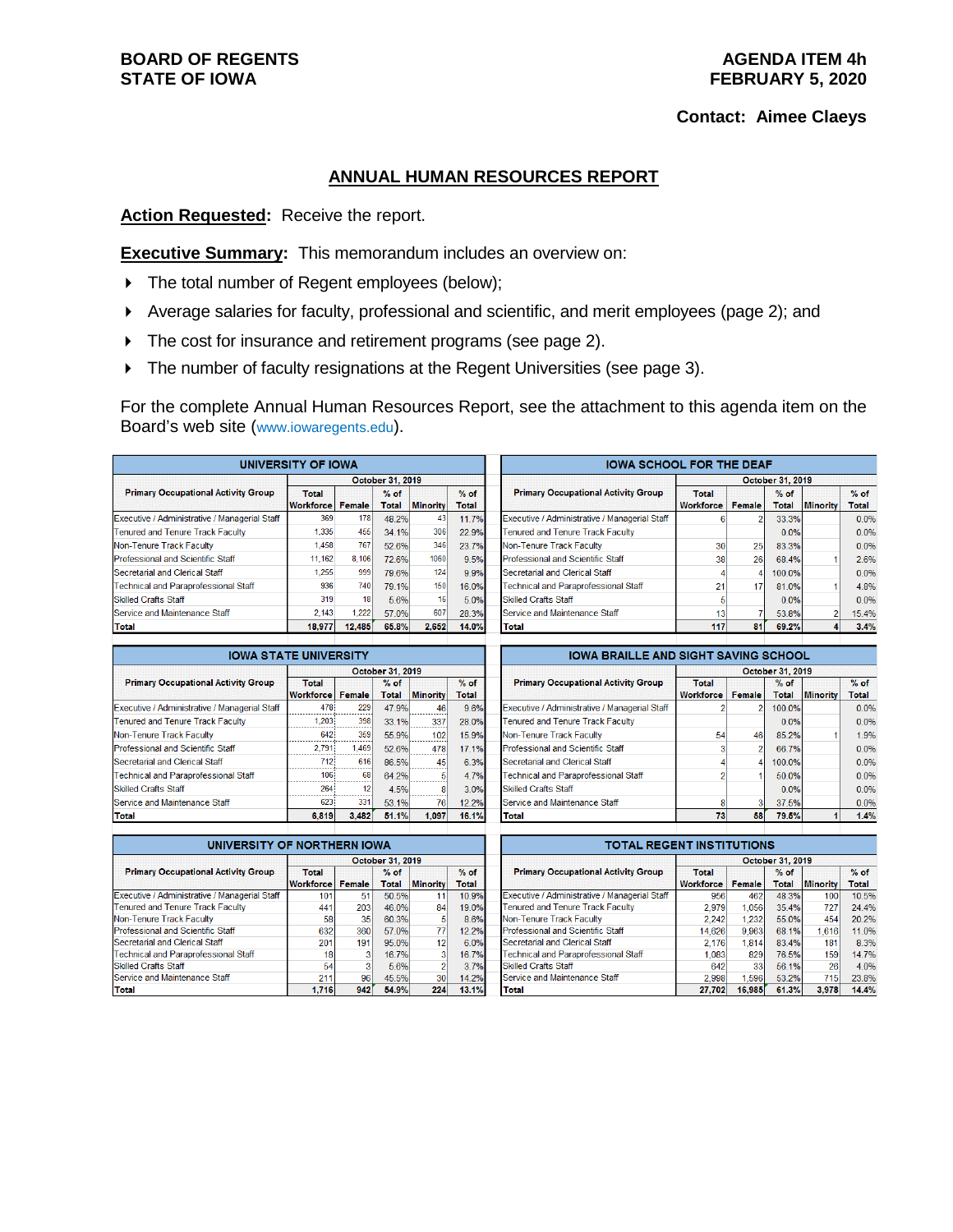## **BOARD OF REGENTS STATE OF IOWA**

## **Contact: Aimee Claeys**

## **ANNUAL HUMAN RESOURCES REPORT**

**Action Requested:** Receive the report.

**Executive Summary:** This memorandum includes an overview on:

- The total number of Regent employees (below);
- Average salaries for faculty, professional and scientific, and merit employees (page 2); and
- The cost for insurance and retirement programs (see page 2).
- The number of faculty resignations at the Regent Universities (see page 3).

For the complete Annual Human Resources Report, see the attachment to this agenda item on the Board's web site (www.iowaregents.edu).

| <b>UNIVERSITY OF IOWA</b>                     |                                  |               |                        |                 |                 |  |  |  |
|-----------------------------------------------|----------------------------------|---------------|------------------------|-----------------|-----------------|--|--|--|
|                                               | October 31, 2019                 |               |                        |                 |                 |  |  |  |
| <b>Primary Occupational Activity Group</b>    | <b>Total</b><br><b>Workforce</b> | <b>Female</b> | $%$ of<br><b>Total</b> | <b>Minority</b> | $%$ of<br>Total |  |  |  |
| Executive / Administrative / Managerial Staff | 369                              | <b>178</b>    | 48.2%                  | 43              | 11.7%           |  |  |  |
| Tenured and Tenure Track Faculty              | 1.335                            | 455           | 34 1%                  | 306             | 22.9%           |  |  |  |
| Non-Tenure Track Faculty                      | 1.458                            | 767           | 52.6%                  | 346             | 23.7%           |  |  |  |
| <b>Professional and Scientific Staff</b>      | 11,162                           | 8,106         | 72.6%                  | 1060            | 9.5%            |  |  |  |
| Secretarial and Clerical Staff                | 1.255                            | 999           | 79.6%                  | 124             | 9.9%            |  |  |  |
| <b>Technical and Paraprofessional Staff</b>   | 936                              | 740           | 79.1%                  | 150             | 16.0%           |  |  |  |
| <b>Skilled Crafts Staff</b>                   | 319                              | 18            | 5.6%                   | 16              | 5.0%            |  |  |  |
| Service and Maintenance Staff                 | 2,143                            | 1.222         | 57.0%                  | 607             | 28.3%           |  |  |  |
| Total                                         | 18.977                           | 12.485        | 65.8%                  | 2.652           | 14.0%           |  |  |  |

|                                               | October 31, 2019                 |               |                        |                 |                        |  |  |
|-----------------------------------------------|----------------------------------|---------------|------------------------|-----------------|------------------------|--|--|
| <b>Primary Occupational Activity Group</b>    | <b>Total</b><br><b>Workforce</b> | <b>Female</b> | $%$ of<br><b>Total</b> | <b>Minority</b> | $%$ of<br><b>Total</b> |  |  |
| Executive / Administrative / Managerial Staff | R                                |               | 33.3%                  |                 | 0.0%                   |  |  |
| Tenured and Tenure Track Faculty              |                                  |               | 0.0%                   |                 | 0.0%                   |  |  |
| Non-Tenure Track Faculty                      | 30                               | 25            | 83.3%                  |                 | 0.0%                   |  |  |
| <b>Professional and Scientific Staff</b>      | 38                               | 26            | 68.4%                  |                 | 2.6%                   |  |  |
| <b>Secretarial and Clerical Staff</b>         | 4                                |               | 100.0%                 |                 | 0.0%                   |  |  |
| Technical and Paraprofessional Staff          | 21                               | 17            | 81.0%                  |                 | 4.8%                   |  |  |
| <b>Skilled Crafts Staff</b>                   | 5                                |               | 0.0%                   |                 | 0.0%                   |  |  |
| Service and Maintenance Staff                 | 13                               |               | 53.8%                  |                 | 15.4%                  |  |  |
| Total                                         | 117                              | 81            | 69.2%                  |                 | 3.4%                   |  |  |

| <b>IOWA STATE UNIVERSITY</b>                  |                  |        |                  |                 |              |                |  |  |  |
|-----------------------------------------------|------------------|--------|------------------|-----------------|--------------|----------------|--|--|--|
|                                               |                  |        | October 31, 2019 |                 |              |                |  |  |  |
| <b>Primary Occupational Activity Group</b>    | <b>Total</b>     |        | $%$ of           |                 | $%$ of       |                |  |  |  |
|                                               | <b>Workforce</b> | Female | <b>Total</b>     | <b>Minority</b> | <b>Total</b> |                |  |  |  |
| Executive / Administrative / Managerial Staff | 478              | 229    | 47.9%            | 46              | 9.6%         | E)             |  |  |  |
| <b>Tenured and Tenure Track Faculty</b>       | 1.203            | 398    | 33.1%            | 337             | 28.0%        | Tε             |  |  |  |
| Non-Tenure Track Faculty                      | 642              | 359    | 55.9%            | 102             | 15.9%        | <b>N</b>       |  |  |  |
| Professional and Scientific Staff             | 2.791            | 1.469  | 52.6%            | 478             | 17.1%        | P              |  |  |  |
| Secretarial and Clerical Staff                | 712              | 616    | 86.5%            | 45              | 6.3%         | S)             |  |  |  |
| <b>Technical and Paraprofessional Staff</b>   | 106              | 68     | 64.2%            | 5               | 4.7%         | Τt             |  |  |  |
| <b>Skilled Crafts Staff</b>                   | 264              | 12     | 4.5%             | R               | 3.0%         | SI             |  |  |  |
| Service and Maintenance Staff                 | 623              | 331    | 53.1%            | 76              | 12.2%        | S <sub>t</sub> |  |  |  |
| <b>Total</b>                                  | 6.819            | 3,482  | 51.1%            | 1.097           | 16.1%        | т              |  |  |  |
|                                               |                  |        |                  |                 |              |                |  |  |  |

| <b>IOWA BRAILLE AND SIGHT SAVING SCHOOL</b>   |                  |        |              |                 |        |  |  |  |
|-----------------------------------------------|------------------|--------|--------------|-----------------|--------|--|--|--|
|                                               | October 31, 2019 |        |              |                 |        |  |  |  |
| <b>Primary Occupational Activity Group</b>    | <b>Total</b>     |        | $%$ of       |                 | $%$ of |  |  |  |
|                                               | <b>Workforce</b> | Female | <b>Total</b> | <b>Minority</b> | Total  |  |  |  |
| Executive / Administrative / Managerial Staff |                  | 2      | 100.0%       |                 | 0.0%   |  |  |  |
| <b>Tenured and Tenure Track Faculty</b>       |                  |        | 0.0%         |                 | 0.0%   |  |  |  |
| Non-Tenure Track Faculty                      | 54               | 46     | 85.2%        |                 | 1.9%   |  |  |  |
| Professional and Scientific Staff             | 3                | 2      | 66.7%        |                 | 0.0%   |  |  |  |
| Secretarial and Clerical Staff                | 4                | 4      | 100.0%       |                 | 0.0%   |  |  |  |
| <b>Technical and Paraprofessional Staff</b>   | 2                |        | 50.0%        |                 | 0.0%   |  |  |  |
| <b>Skilled Crafts Staff</b>                   |                  |        | 0.0%         |                 | 0.0%   |  |  |  |
| Service and Maintenance Staff                 | 8                |        | 37.5%        |                 | 0.0%   |  |  |  |
| <b>Total</b>                                  | 73               | 58     | 79.5%        |                 | 1.4%   |  |  |  |
|                                               |                  |        |              |                 |        |  |  |  |

| UNIVERSITY OF NORTHERN IOWA                   |                  |        |              |                 |              |  |  |  |
|-----------------------------------------------|------------------|--------|--------------|-----------------|--------------|--|--|--|
|                                               | October 31, 2019 |        |              |                 |              |  |  |  |
| <b>Primary Occupational Activity Group</b>    | <b>Total</b>     |        | $%$ of       |                 | $%$ of       |  |  |  |
|                                               | <b>Workforce</b> | Female | <b>Total</b> | <b>Minority</b> | <b>Total</b> |  |  |  |
| Executive / Administrative / Managerial Staff | 101              | 51     | 50.5%        | 11              | 10.9%        |  |  |  |
| Tenured and Tenure Track Faculty              | 441              | 203    | 46.0%        | 84              | 19.0%        |  |  |  |
| Non-Tenure Track Faculty                      | 58               | 35     | 60.3%        | 5               | 8.6%         |  |  |  |
| Professional and Scientific Staff             | 632              | 360    | 57 0%        | 77              | 12.2%        |  |  |  |
| Secretarial and Clerical Staff                | 201              | 191    | 95.0%        | 12 <sup>1</sup> | 6.0%         |  |  |  |
| <b>Technical and Paraprofessional Staff</b>   | 18               |        | 16.7%        |                 | 16.7%        |  |  |  |
| <b>Skilled Crafts Staff</b>                   | 54               | 3      | 5.6%         |                 | 3.7%         |  |  |  |
| Service and Maintenance Staff                 | 211              | 96     | 45.5%        | 30              | 14.2%        |  |  |  |
| Total                                         | 1.716            | 942    | 54.9%        | 224             | 13.1%        |  |  |  |

| <b>TOTAL REGENT INSTITUTIONS</b>              |                  |        |              |                 |              |  |  |  |
|-----------------------------------------------|------------------|--------|--------------|-----------------|--------------|--|--|--|
|                                               | October 31, 2019 |        |              |                 |              |  |  |  |
| <b>Primary Occupational Activity Group</b>    | <b>Total</b>     |        | $%$ of       |                 | $%$ of       |  |  |  |
|                                               | <b>Workforce</b> | Female | <b>Total</b> | <b>Minority</b> | <b>Total</b> |  |  |  |
| Executive / Administrative / Managerial Staff | 956              | 462    | 48.3%        | 100             | 10.5%        |  |  |  |
| Tenured and Tenure Track Faculty              | 2.979            | 1.056  | 35.4%        | 727             | 24.4%        |  |  |  |
| Non-Tenure Track Faculty                      | 2,242            | 1.232  | 55 0%        | 454             | 20.2%        |  |  |  |
| Professional and Scientific Staff             | 14.626           | 9.963  | 68 1%        | 1.616           | 11.0%        |  |  |  |
| <b>Secretarial and Clerical Staff</b>         | 2.176            | 1,814  | 83.4%        | 181             | 8.3%         |  |  |  |
| Technical and Paraprofessional Staff          | 1.083            | 829    | 76.5%        | 159             | 14.7%        |  |  |  |
| <b>Skilled Crafts Staff</b>                   | 642              | 33     | 56.1%        | 26              | 4.0%         |  |  |  |
| Service and Maintenance Staff                 | 2.998            | 1.596  | 53.2%        | 715             | 23.8%        |  |  |  |
| <b>Total</b>                                  | 27.702           | 16.985 | 61.3%        | 3.978           | 14.4%        |  |  |  |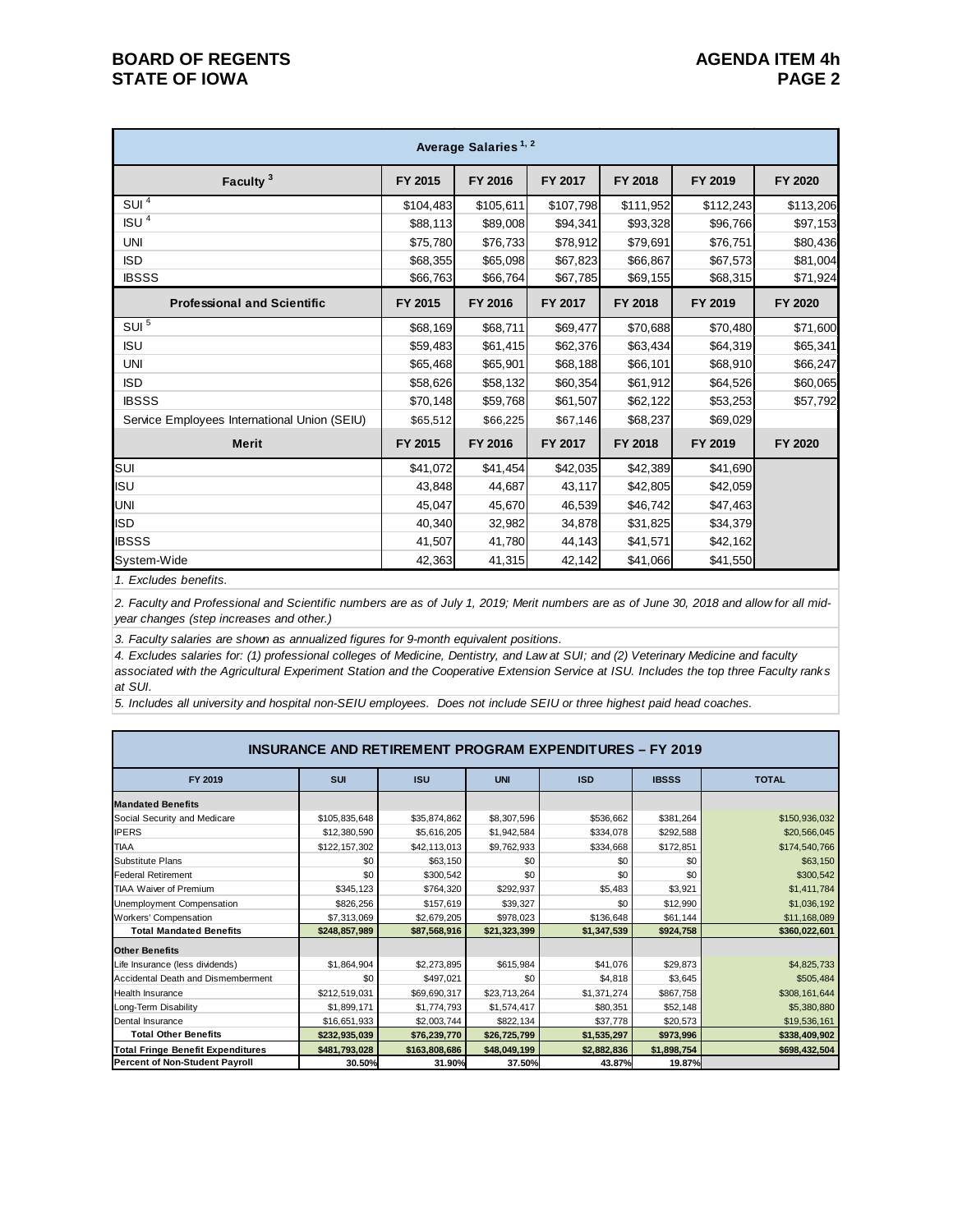| Average Salaries <sup>1, 2</sup>             |           |           |                |           |           |           |  |  |  |
|----------------------------------------------|-----------|-----------|----------------|-----------|-----------|-----------|--|--|--|
| Faculty <sup>3</sup>                         | FY 2015   | FY 2016   | FY 2017        | FY 2018   | FY 2019   | FY 2020   |  |  |  |
| SUI <sup>4</sup>                             | \$104,483 | \$105,611 | \$107,798      | \$111,952 | \$112,243 | \$113,206 |  |  |  |
| ISU <sup>4</sup>                             | \$88,113  | \$89,008  | \$94,341       | \$93,328  | \$96,766  | \$97,153  |  |  |  |
| <b>UNI</b>                                   | \$75,780  | \$76,733  | \$78,912       | \$79,691  | \$76,751  | \$80,436  |  |  |  |
| <b>ISD</b>                                   | \$68,355  | \$65,098  | \$67,823       | \$66,867  | \$67,573  | \$81,004  |  |  |  |
| <b>IBSSS</b>                                 | \$66,763  | \$66,764  | \$67,785       | \$69,155  | \$68,315  | \$71,924  |  |  |  |
| <b>Professional and Scientific</b>           | FY 2015   | FY 2016   | FY 2017        | FY 2018   | FY 2019   | FY 2020   |  |  |  |
| $SUI$ <sup>5</sup>                           | \$68,169  | \$68,711  | \$69,477       | \$70,688  | \$70,480  | \$71,600  |  |  |  |
| <b>ISU</b>                                   | \$59,483  | \$61,415  | \$62,376       | \$63,434  | \$64,319  | \$65,341  |  |  |  |
| <b>UNI</b>                                   | \$65,468  | \$65,901  | \$68,188       | \$66,101  | \$68,910  | \$66,247  |  |  |  |
| <b>ISD</b>                                   | \$58,626  | \$58,132  | \$60,354       | \$61,912  | \$64,526  | \$60,065  |  |  |  |
| <b>IBSSS</b>                                 | \$70,148  | \$59,768  | \$61,507       | \$62,122  | \$53,253  | \$57,792  |  |  |  |
| Service Employees International Union (SEIU) | \$65,512  | \$66,225  | \$67,146       | \$68,237  | \$69,029  |           |  |  |  |
| <b>Merit</b>                                 | FY 2015   | FY 2016   | <b>FY 2017</b> | FY 2018   | FY 2019   | FY 2020   |  |  |  |
| SUI                                          | \$41,072  | \$41,454  | \$42,035       | \$42,389  | \$41,690  |           |  |  |  |
| <b>ISU</b>                                   | 43,848    | 44,687    | 43,117         | \$42,805  | \$42,059  |           |  |  |  |
| <b>UNI</b>                                   | 45,047    | 45,670    | 46,539         | \$46,742  | \$47,463  |           |  |  |  |
| <b>ISD</b>                                   | 40,340    | 32,982    | 34,878         | \$31,825  | \$34,379  |           |  |  |  |
| <b>IBSSS</b>                                 | 41,507    | 41,780    | 44,143         | \$41,571  | \$42,162  |           |  |  |  |
| System-Wide                                  | 42,363    | 41,315    | 42,142         | \$41,066  | \$41,550  |           |  |  |  |

*1. Excludes benefits.*

*2. Faculty and Professional and Scientific numbers are as of July 1, 2019; Merit numbers are as of June 30, 2018 and allow for all midyear changes (step increases and other.)*

*3. Faculty salaries are shown as annualized figures for 9-month equivalent positions.*

*4. Excludes salaries for: (1) professional colleges of Medicine, Dentistry, and Law at SUI; and (2) Veterinary Medicine and faculty associated with the Agricultural Experiment Station and the Cooperative Extension Service at ISU. Includes the top three Faculty ranks at SUI.*

*5. Includes all university and hospital non-SEIU employees. Does not include SEIU or three highest paid head coaches.*

| <b>INSURANCE AND RETIREMENT PROGRAM EXPENDITURES - FY 2019</b> |               |               |              |             |              |               |  |  |
|----------------------------------------------------------------|---------------|---------------|--------------|-------------|--------------|---------------|--|--|
| FY 2019                                                        | <b>SUI</b>    | <b>ISU</b>    | <b>UNI</b>   | <b>ISD</b>  | <b>IBSSS</b> | <b>TOTAL</b>  |  |  |
| <b>Mandated Benefits</b>                                       |               |               |              |             |              |               |  |  |
| Social Security and Medicare                                   | \$105,835,648 | \$35,874,862  | \$8,307,596  | \$536,662   | \$381,264    | \$150,936,032 |  |  |
| <b>IPERS</b>                                                   | \$12,380,590  | \$5,616,205   | \$1,942,584  | \$334,078   | \$292,588    | \$20,566,045  |  |  |
| <b>TIAA</b>                                                    | \$122,157,302 | \$42,113,013  | \$9,762,933  | \$334,668   | \$172,851    | \$174,540,766 |  |  |
| Substitute Plans                                               | \$0           | \$63,150      | \$0          | \$0         | \$0          | \$63,150      |  |  |
| <b>Federal Retirement</b>                                      | \$0           | \$300,542     | \$0          | \$0         | \$0          | \$300,542     |  |  |
| <b>TIAA Waiver of Premium</b>                                  | \$345.123     | \$764,320     | \$292,937    | \$5,483     | \$3,921      | \$1,411,784   |  |  |
| Unemployment Compensation                                      | \$826,256     | \$157,619     | \$39,327     | \$0         | \$12,990     | \$1,036,192   |  |  |
| Workers' Compensation                                          | \$7,313,069   | \$2,679,205   | \$978,023    | \$136,648   | \$61,144     | \$11,168,089  |  |  |
| <b>Total Mandated Benefits</b>                                 | \$248,857,989 | \$87,568,916  | \$21,323,399 | \$1,347,539 | \$924,758    | \$360,022,601 |  |  |
| <b>Other Benefits</b>                                          |               |               |              |             |              |               |  |  |
| Life Insurance (less dividends)                                | \$1,864,904   | \$2,273,895   | \$615,984    | \$41,076    | \$29,873     | \$4,825,733   |  |  |
| Accidental Death and Dismemberment                             | \$0           | \$497,021     | \$0          | \$4,818     | \$3,645      | \$505,484     |  |  |
| <b>Health Insurance</b>                                        | \$212,519,031 | \$69,690,317  | \$23,713,264 | \$1,371,274 | \$867,758    | \$308,161,644 |  |  |
| Long-Term Disability                                           | \$1,899,171   | \$1,774,793   | \$1,574,417  | \$80,351    | \$52,148     | \$5,380,880   |  |  |
| Dental Insurance                                               | \$16,651,933  | \$2,003,744   | \$822,134    | \$37,778    | \$20,573     | \$19,536,161  |  |  |
| <b>Total Other Benefits</b>                                    | \$232,935,039 | \$76,239,770  | \$26,725,799 | \$1,535,297 | \$973,996    | \$338,409,902 |  |  |
| <b>Total Fringe Benefit Expenditures</b>                       | \$481,793,028 | \$163,808,686 | \$48,049,199 | \$2,882,836 | \$1,898,754  | \$698,432,504 |  |  |
| <b>Percent of Non-Student Payroll</b>                          | 30.50%        | 31.90%        | 37.50%       | 43.87%      | 19.87%       |               |  |  |